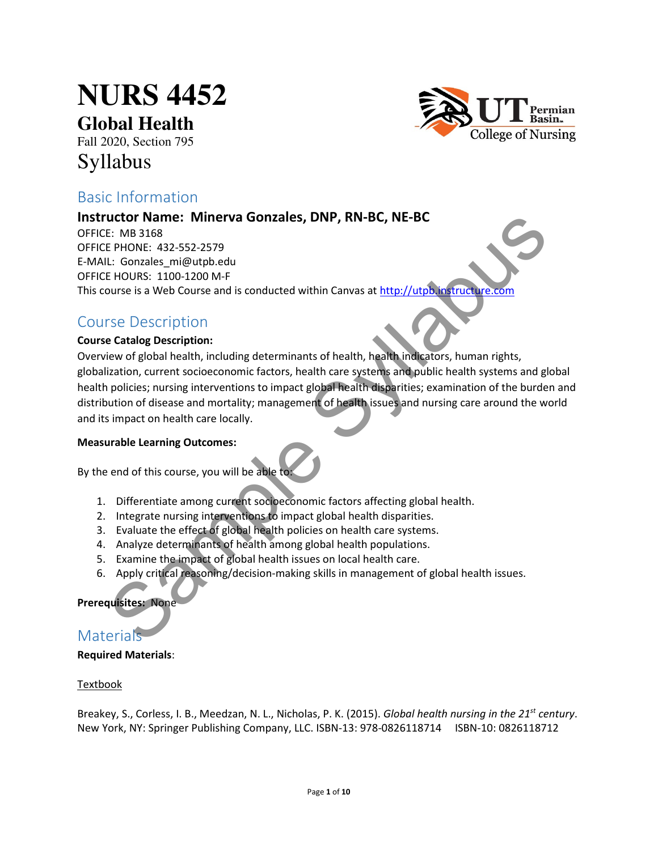# **NURS 4452**

**Global Health**

Fall 2020, Section 795

# Syllabus



# Basic Information

# Instructor Name: Minerva Gonzales, DNP, RN-BC, NE-BC

OFFICE: MB 3168 OFFICE PHONE: 432-552-2579 E-MAIL: Gonzales\_mi@utpb.edu OFFICE HOURS: 1100-1200 M-F This course is a Web Course and is conducted within Canvas at http://utpb.instructure.com

# Course Description

## Course Catalog Description:

Overview of global health, including determinants of health, health indicators, human rights, globalization, current socioeconomic factors, health care systems and public health systems and global health policies; nursing interventions to impact global health disparities; examination of the burden and distribution of disease and mortality; management of health issues and nursing care around the world and its impact on health care locally. Later Mannet: Winerva Gonzales, DNP, RN-BC, NE-BC<br>
E: MB 3168<br>
E: MB 3168<br>
E: MDS 3168<br>
L: Gonzales mi@utpb.edu<br>
L: Gonzales mi@utpb.edu<br>
L: Gonzales mi@utpb.edu<br>
E: HOURS: 1100-1200 M-F<br>
Signe Discription<br>
Signe Discripti

## Measurable Learning Outcomes:

By the end of this course, you will be able to:

- 1. Differentiate among current socioeconomic factors affecting global health.
- 2. Integrate nursing interventions to impact global health disparities.
- 3. Evaluate the effect of global health policies on health care systems.
- 4. Analyze determinants of health among global health populations.
- 5. Examine the impact of global health issues on local health care.
- 6. Apply critical reasoning/decision-making skills in management of global health issues.

## Prerequisites: None

# **Materials**

## Required Materials:

## **Textbook**

Breakey, S., Corless, I. B., Meedzan, N. L., Nicholas, P. K. (2015). Global health nursing in the 21<sup>st</sup> century. New York, NY: Springer Publishing Company, LLC. ISBN-13: 978-0826118714 ISBN-10: 0826118712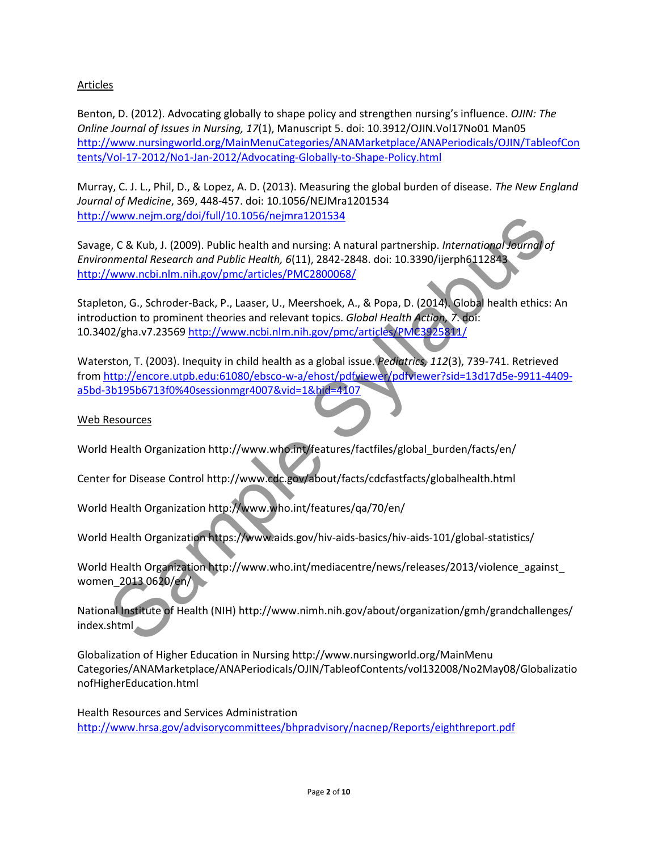## **Articles**

Benton, D. (2012). Advocating globally to shape policy and strengthen nursing's influence. OJIN: The Online Journal of Issues in Nursing, 17(1), Manuscript 5. doi: 10.3912/OJIN.Vol17No01 Man05 http://www.nursingworld.org/MainMenuCategories/ANAMarketplace/ANAPeriodicals/OJIN/TableofCon tents/Vol-17-2012/No1-Jan-2012/Advocating-Globally-to-Shape-Policy.html

Murray, C. J. L., Phil, D., & Lopez, A. D. (2013). Measuring the global burden of disease. The New England Journal of Medicine, 369, 448-457. doi: 10.1056/NEJMra1201534 http://www.nejm.org/doi/full/10.1056/nejmra1201534

Savage, C & Kub, J. (2009). Public health and nursing: A natural partnership. International Journal of Environmental Research and Public Health, 6(11), 2842-2848. doi: 10.3390/ijerph6112843 http://www.ncbi.nlm.nih.gov/pmc/articles/PMC2800068/ Www.neim.org/doi/huli/10.1055/neimra1/201544<br>
e, C & Kub, J. (2009). Public health and nursing: A natural partnership. International Journal<br>
Mww.ncbi.nlm.nih.gov/pmc/articles/PMC2800068/<br>
Mww.ncbi.nlm.nih.gov/pmc/articles

Stapleton, G., Schroder-Back, P., Laaser, U., Meershoek, A., & Popa, D. (2014). Global health ethics: An introduction to prominent theories and relevant topics. Global Health Action, 7. doi: 10.3402/gha.v7.23569 http://www.ncbi.nlm.nih.gov/pmc/articles/PMC3925811/

Waterston, T. (2003). Inequity in child health as a global issue. Pediatrics, 112(3), 739-741. Retrieved from http://encore.utpb.edu:61080/ebsco-w-a/ehost/pdfviewer/pdfviewer?sid=13d17d5e-9911-4409 a5bd-3b195b6713f0%40sessionmgr4007&vid=1&hid=4107

Web Resources

World Health Organization http://www.who.int/features/factfiles/global\_burden/facts/en/

Center for Disease Control http://www.cdc.gov/about/facts/cdcfastfacts/globalhealth.html

World Health Organization http://www.who.int/features/qa/70/en/

World Health Organization https://www.aids.gov/hiv-aids-basics/hiv-aids-101/global-statistics/

World Health Organization http://www.who.int/mediacentre/news/releases/2013/violence\_against\_ women\_2013 0620/en/

National Institute of Health (NIH) http://www.nimh.nih.gov/about/organization/gmh/grandchallenges/ index.shtml

Globalization of Higher Education in Nursing http://www.nursingworld.org/MainMenu Categories/ANAMarketplace/ANAPeriodicals/OJIN/TableofContents/vol132008/No2May08/Globalizatio nofHigherEducation.html

Health Resources and Services Administration http://www.hrsa.gov/advisorycommittees/bhpradvisory/nacnep/Reports/eighthreport.pdf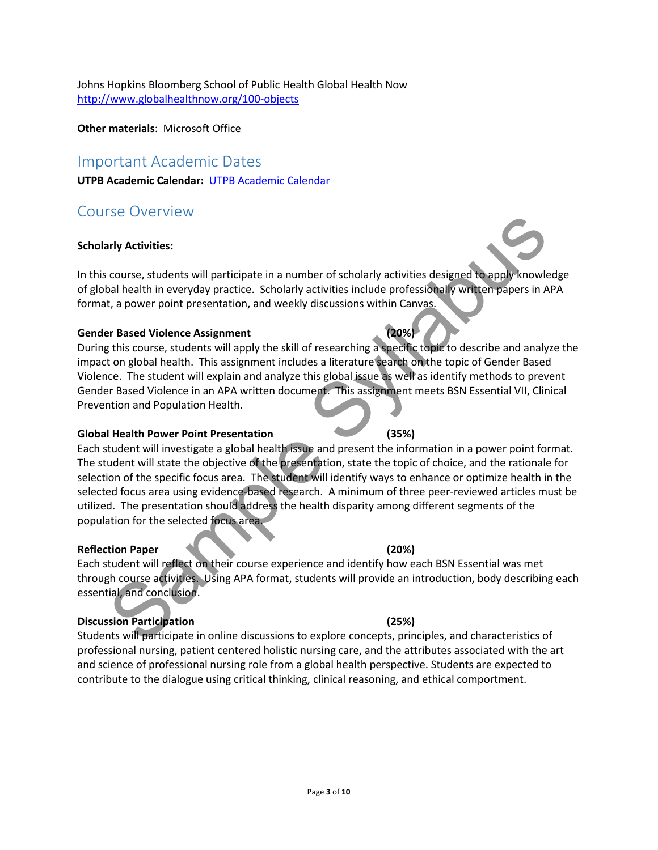Johns Hopkins Bloomberg School of Public Health Global Health Now http://www.globalhealthnow.org/100-objects

Other materials: Microsoft Office

# Important Academic Dates

UTPB Academic Calendar: UTPB Academic Calendar

# Course Overview

### Scholarly Activities:

In this course, students will participate in a number of scholarly activities designed to apply knowledge of global health in everyday practice. Scholarly activities include professionally written papers in APA format, a power point presentation, and weekly discussions within Canvas.

### Gender Based Violence Assignment (20%)

During this course, students will apply the skill of researching a specific topic to describe and analyze the impact on global health. This assignment includes a literature search on the topic of Gender Based Violence. The student will explain and analyze this global issue as well as identify methods to prevent Gender Based Violence in an APA written document. This assignment meets BSN Essential VII, Clinical Prevention and Population Health.

### Global Health Power Point Presentation (35%)

Each student will investigate a global health issue and present the information in a power point format. The student will state the objective of the presentation, state the topic of choice, and the rationale for selection of the specific focus area. The student will identify ways to enhance or optimize health in the selected focus area using evidence-based research. A minimum of three peer-reviewed articles must be utilized. The presentation should address the health disparity among different segments of the population for the selected focus area. Sample of the specific four area<br>
ting Apple Translabuse entirely activities designed to apply knowled the syllabused by activities include professionally written papers in A<br>
t, a power point presentation, and weekly disc

### Reflection Paper (20%)

Each student will reflect on their course experience and identify how each BSN Essential was met through course activities. Using APA format, students will provide an introduction, body describing each essential, and conclusion.

### Discussion Participation (25%)

Students will participate in online discussions to explore concepts, principles, and characteristics of professional nursing, patient centered holistic nursing care, and the attributes associated with the art and science of professional nursing role from a global health perspective. Students are expected to contribute to the dialogue using critical thinking, clinical reasoning, and ethical comportment.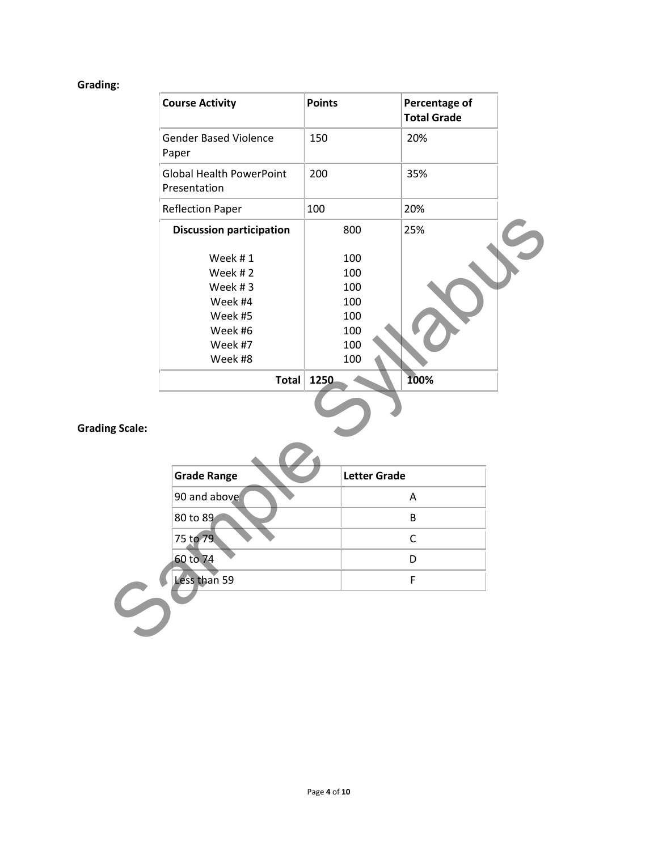# Grading:

|                       | <b>Course Activity</b>                                                                               | <b>Points</b>                                                | Percentage of<br><b>Total Grade</b> |  |
|-----------------------|------------------------------------------------------------------------------------------------------|--------------------------------------------------------------|-------------------------------------|--|
|                       | <b>Gender Based Violence</b><br>Paper                                                                | 150                                                          | 20%                                 |  |
|                       | <b>Global Health PowerPoint</b><br>Presentation                                                      | 200                                                          | 35%                                 |  |
|                       | <b>Reflection Paper</b>                                                                              | 100                                                          | 20%                                 |  |
|                       | <b>Discussion participation</b>                                                                      | 800                                                          | 25%                                 |  |
| <b>Grading Scale:</b> | Week #1<br>Week #2<br>Week #3<br>Week #4<br>Week #5<br>Week #6<br>Week #7<br>Week #8<br><b>Total</b> | 100<br>100<br>100<br>100<br>100<br>100<br>100<br>100<br>1250 | 100%                                |  |
|                       | <b>Grade Range</b>                                                                                   | <b>Letter Grade</b>                                          |                                     |  |
|                       | 90 and above                                                                                         |                                                              | Α                                   |  |
|                       | 80 to 89                                                                                             |                                                              | B                                   |  |
|                       | 75 to 79                                                                                             |                                                              | $\mathsf{C}$                        |  |
|                       | 60 to 74                                                                                             |                                                              | D                                   |  |
|                       | Less than 59                                                                                         |                                                              | F                                   |  |
|                       |                                                                                                      |                                                              |                                     |  |

# Grading Scale:

| <b>Grade Range</b> | <b>Letter Grade</b> |
|--------------------|---------------------|
| 90 and above       | Α                   |
| 80 to 89           | В                   |
| 75 to 79           | r                   |
| 60 to 74           |                     |
| Less than 59       |                     |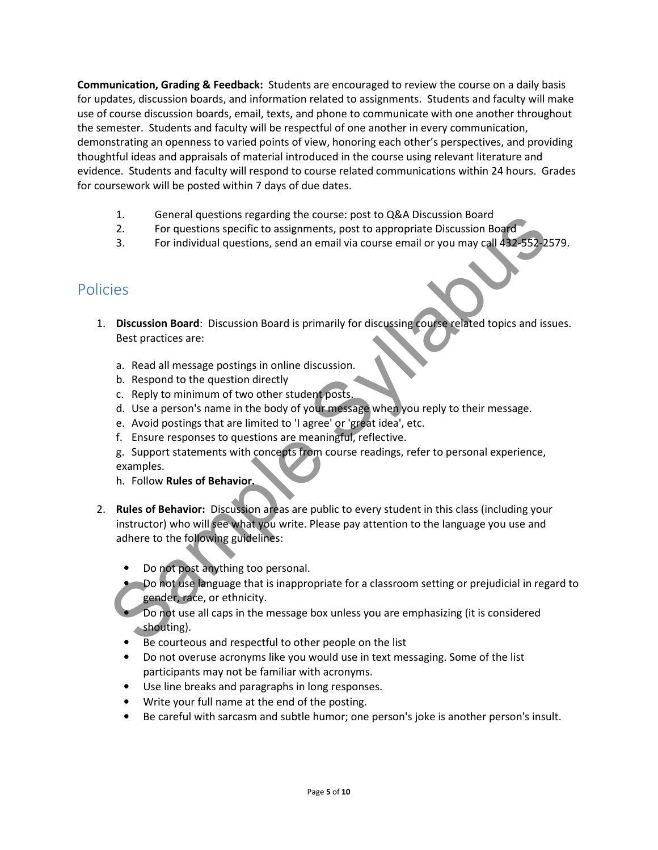Communication, Grading & Feedback: Students are encouraged to review the course on a daily basis for updates, discussion boards, and information related to assignments. Students and faculty will make use of course discussion boards, email, texts, and phone to communicate with one another throughout the semester. Students and faculty will be respectful of one another in every communication, demonstrating an openness to varied points of view, honoring each other's perspectives, and providing thoughtful ideas and appraisals of material introduced in the course using relevant literature and evidence. Students and faculty will respond to course related communications within 24 hours. Grades for coursework will be posted within 7 days of due dates.

- 1. General questions regarding the course: post to Q&A Discussion Board
- 2. For questions specific to assignments, post to appropriate Discussion Board
- 3. For individual questions, send an email via course email or you may call 432-552-2579.

# Policies

- 1. Discussion Board: Discussion Board is primarily for discussing course related topics and issues. Best practices are:
	- a. Read all message postings in online discussion.
	- b. Respond to the question directly
	- c. Reply to minimum of two other student posts.
	- d. Use a person's name in the body of your message when you reply to their message.
	- e. Avoid postings that are limited to 'I agree' or 'great idea', etc.
	- f. Ensure responses to questions are meaningful, reflective.
	- g. Support statements with concepts from course readings, refer to personal experience, examples.
	- h. Follow Rules of Behavior.
- 2. Rules of Behavior: Discussion areas are public to every student in this class (including your instructor) who will see what you write. Please pay attention to the language you use and adhere to the following guidelines: 1.<br>
Comeral questions regarding the course: post to appropriate Discussion Board<br>
2. For questions specific to assignments, post to appropriate Discussion Board<br>
3. For individual questions, send an email via course email
	- Do not post anything too personal.
	- **•** Do not use language that is inappropriate for a classroom setting or prejudicial in regard to gender, race, or ethnicity.
	- Do not use all caps in the message box unless you are emphasizing (it is considered shouting).
	- Be courteous and respectful to other people on the list
	- Do not overuse acronyms like you would use in text messaging. Some of the list participants may not be familiar with acronyms.
	- Use line breaks and paragraphs in long responses.
	- Write your full name at the end of the posting.
	- Be careful with sarcasm and subtle humor; one person's joke is another person's insult.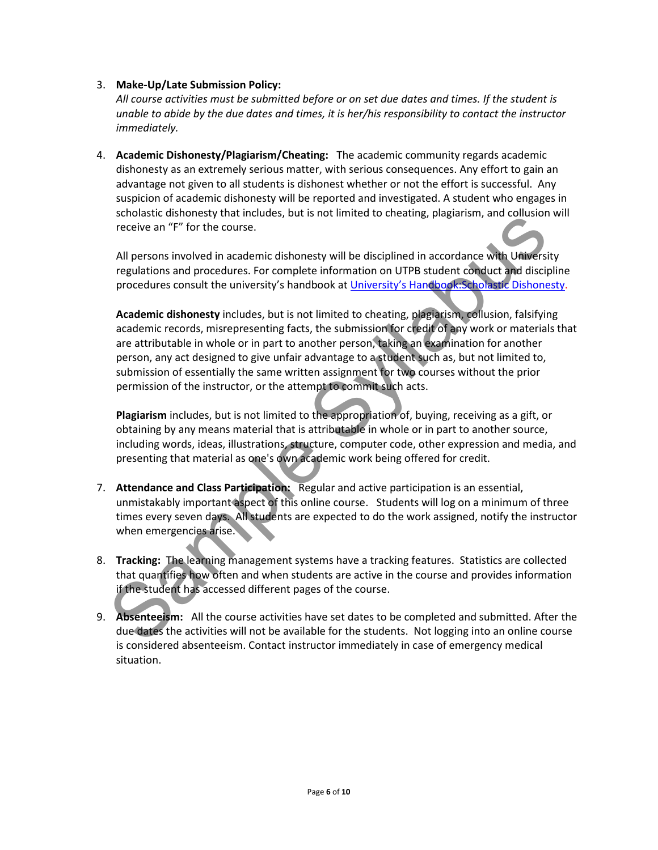### 3. Make-Up/Late Submission Policy:

All course activities must be submitted before or on set due dates and times. If the student is unable to abide by the due dates and times, it is her/his responsibility to contact the instructor immediately.

4. Academic Dishonesty/Plagiarism/Cheating: The academic community regards academic dishonesty as an extremely serious matter, with serious consequences. Any effort to gain an advantage not given to all students is dishonest whether or not the effort is successful. Any suspicion of academic dishonesty will be reported and investigated. A student who engages in scholastic dishonesty that includes, but is not limited to cheating, plagiarism, and collusion will receive an "F" for the course.

All persons involved in academic dishonesty will be disciplined in accordance with University regulations and procedures. For complete information on UTPB student conduct and discipline procedures consult the university's handbook at University's Handbook:Scholastic Dishonesty.

Academic dishonesty includes, but is not limited to cheating, plagiarism, collusion, falsifying academic records, misrepresenting facts, the submission for credit of any work or materials that are attributable in whole or in part to another person, taking an examination for another person, any act designed to give unfair advantage to a student such as, but not limited to, submission of essentially the same written assignment for two courses without the prior permission of the instructor, or the attempt to commit such acts. since and the content of the content of the content of the content of the content of the content of the content of the content of the syllabused of the content of the content of the content of the content of the content of

Plagiarism includes, but is not limited to the appropriation of, buying, receiving as a gift, or obtaining by any means material that is attributable in whole or in part to another source, including words, ideas, illustrations, structure, computer code, other expression and media, and presenting that material as one's own academic work being offered for credit.

- 7. Attendance and Class Participation: Regular and active participation is an essential, unmistakably important aspect of this online course. Students will log on a minimum of three times every seven days. All students are expected to do the work assigned, notify the instructor when emergencies arise.
- 8. Tracking: The learning management systems have a tracking features. Statistics are collected that quantifies how often and when students are active in the course and provides information if the student has accessed different pages of the course.
- 9. Absenteeism: All the course activities have set dates to be completed and submitted. After the due dates the activities will not be available for the students. Not logging into an online course is considered absenteeism. Contact instructor immediately in case of emergency medical situation.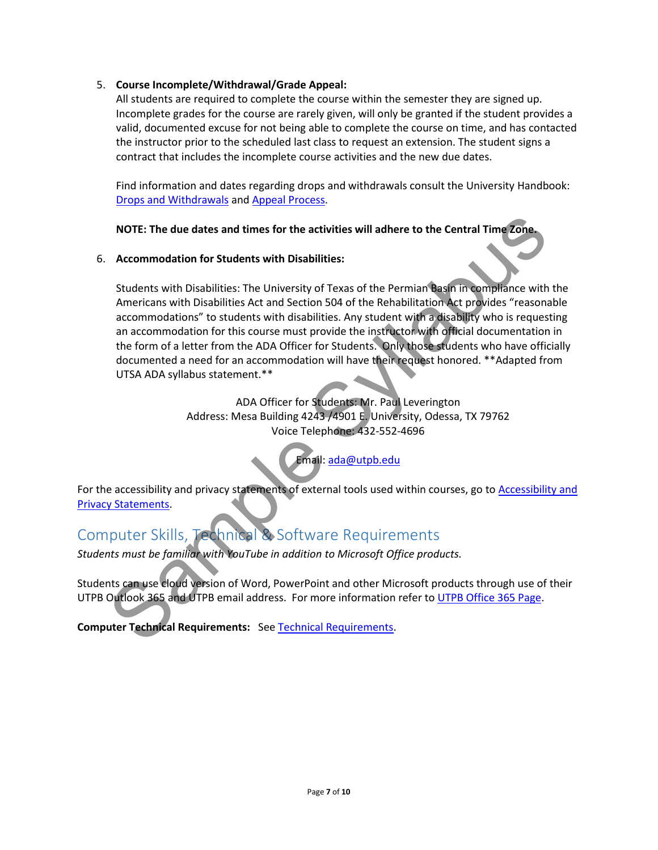### 5. Course Incomplete/Withdrawal/Grade Appeal:

All students are required to complete the course within the semester they are signed up. Incomplete grades for the course are rarely given, will only be granted if the student provides a valid, documented excuse for not being able to complete the course on time, and has contacted the instructor prior to the scheduled last class to request an extension. The student signs a contract that includes the incomplete course activities and the new due dates.

Find information and dates regarding drops and withdrawals consult the University Handbook: Drops and Withdrawals and Appeal Process.

## NOTE: The due dates and times for the activities will adhere to the Central Time Zone.

### 6. Accommodation for Students with Disabilities:

Students with Disabilities: The University of Texas of the Permian Basin in compliance with the Americans with Disabilities Act and Section 504 of the Rehabilitation Act provides "reasonable accommodations" to students with disabilities. Any student with a disability who is requesting an accommodation for this course must provide the instructor with official documentation in the form of a letter from the ADA Officer for Students. Only those students who have officially documented a need for an accommodation will have their request honored. \*\*Adapted from UTSA ADA syllabus statement.\*\* activities will adhere to the Central Time Zone.<br>
bilities:<br>
y of Texas of the Permian Basin in compliance with<br>
ion 504 of the Rehabilitation Act provides "reasona<br>
bilities. Any student with a disability who is reques<br>
p

ADA Officer for Students: Mr. Paul Leverington Address: Mesa Building 4243 /4901 E. University, Odessa, TX 79762 Voice Telephone: 432-552-4696

Email: ada@utpb.edu

For the accessibility and privacy statements of external tools used within courses, go to Accessibility and Privacy Statements.

# Computer Skills, Technical & Software Requirements

Students must be familiar with YouTube in addition to Microsoft Office products.

Students can use cloud version of Word, PowerPoint and other Microsoft products through use of their UTPB Outlook 365 and UTPB email address. For more information refer to UTPB Office 365 Page. Email: adam<br>
Statements.<br>
Software R<br>
Software R<br>
Ints must be familiar with YouTube in addition to Mi<br>
Ints can use cloud version of Word, PowerPoint and<br>
Outlook 365 and UTPB email address. For more inf<br>
uter Technical R

Computer Technical Requirements: See Technical Requirements.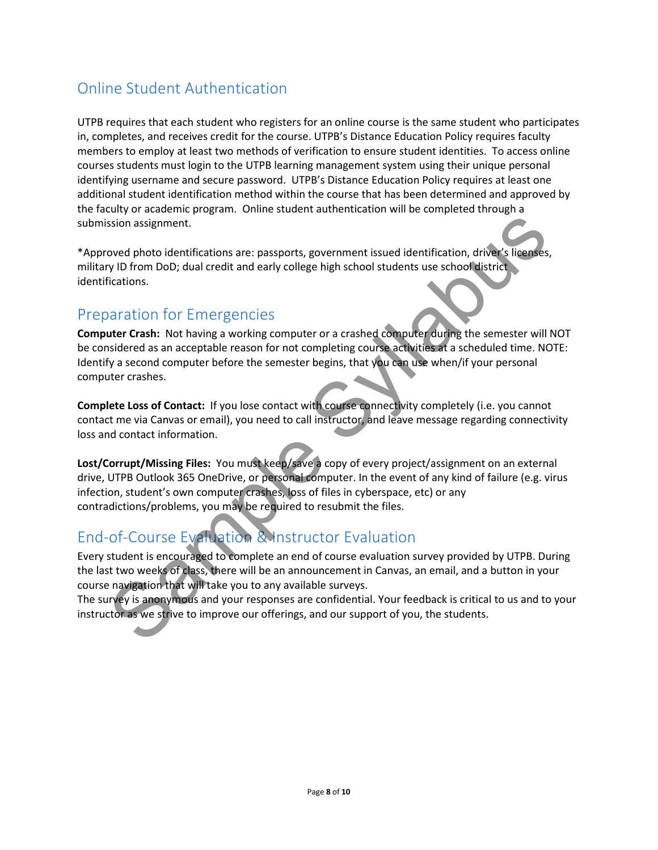# Online Student Authentication

UTPB requires that each student who registers for an online course is the same student who participates in, completes, and receives credit for the course. UTPB's Distance Education Policy requires faculty members to employ at least two methods of verification to ensure student identities. To access online courses students must login to the UTPB learning management system using their unique personal identifying username and secure password. UTPB's Distance Education Policy requires at least one additional student identification method within the course that has been determined and approved by the faculty or academic program. Online student authentication will be completed through a submission assignment.

\*Approved photo identifications are: passports, government issued identification, driver's licenses, military ID from DoD; dual credit and early college high school students use school district identifications.

# Preparation for Emergencies

Computer Crash: Not having a working computer or a crashed computer during the semester will NOT be considered as an acceptable reason for not completing course activities at a scheduled time. NOTE: Identify a second computer before the semester begins, that you can use when/if your personal computer crashes.

Complete Loss of Contact: If you lose contact with course connectivity completely (i.e. you cannot contact me via Canvas or email), you need to call instructor, and leave message regarding connectivity loss and contact information.

Lost/Corrupt/Missing Files: You must keep/save a copy of every project/assignment on an external drive, UTPB Outlook 365 OneDrive, or personal computer. In the event of any kind of failure (e.g. virus infection, student's own computer crashes, loss of files in cyberspace, etc) or any contradictions/problems, you may be required to resubmit the files. ssion assignment.<br>
Soved photo identifications are: passports, government issued identification, driver's licenses<br>
(y) D from DoD; dual credit and early college high school students use school district<br>
Circuitons.<br>
Simil

# End-of-Course Evaluation & Instructor Evaluation

Every student is encouraged to complete an end of course evaluation survey provided by UTPB. During the last two weeks of class, there will be an announcement in Canvas, an email, and a button in your course navigation that will take you to any available surveys.

The survey is anonymous and your responses are confidential. Your feedback is critical to us and to your instructor as we strive to improve our offerings, and our support of you, the students.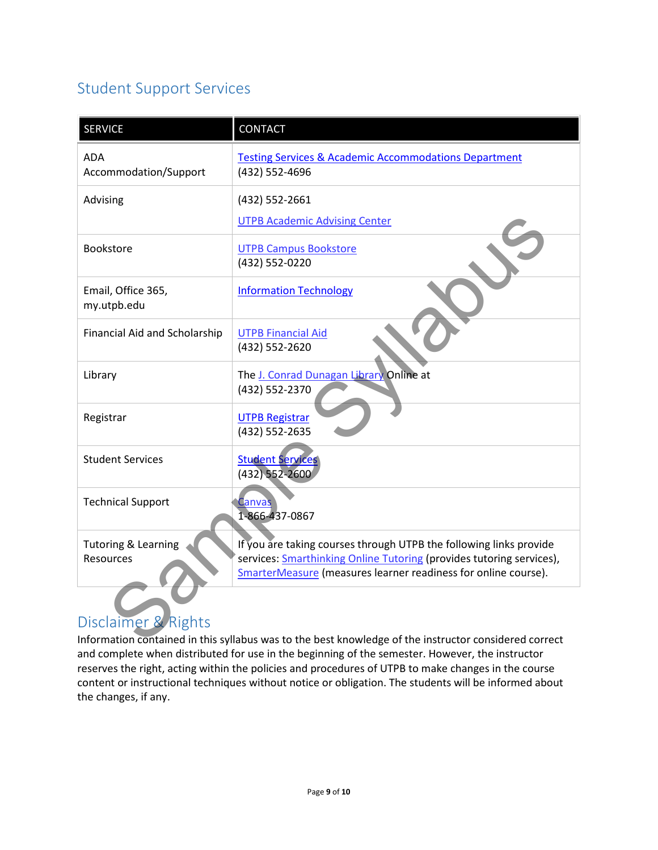# Student Support Services

| <b>SERVICE</b>                                                                                        | <b>CONTACT</b>                                                                                                                         |  |  |  |
|-------------------------------------------------------------------------------------------------------|----------------------------------------------------------------------------------------------------------------------------------------|--|--|--|
| <b>ADA</b><br>Accommodation/Support                                                                   | <b>Testing Services &amp; Academic Accommodations Department</b><br>(432) 552-4696                                                     |  |  |  |
| Advising                                                                                              | (432) 552-2661                                                                                                                         |  |  |  |
|                                                                                                       | <b>UTPB Academic Advising Center</b>                                                                                                   |  |  |  |
| Bookstore                                                                                             | <b>UTPB Campus Bookstore</b><br>(432) 552-0220                                                                                         |  |  |  |
| Email, Office 365,<br>my.utpb.edu                                                                     | <b>Information Technology</b>                                                                                                          |  |  |  |
| Financial Aid and Scholarship                                                                         | <b>UTPB Financial Aid</b><br>(432) 552-2620                                                                                            |  |  |  |
| Library                                                                                               | The J. Conrad Dunagan Library Online at<br>(432) 552-2370                                                                              |  |  |  |
| Registrar                                                                                             | <b>UTPB Registrar</b><br>(432) 552-2635                                                                                                |  |  |  |
| <b>Student Services</b>                                                                               | <b>Student Services</b><br>(432) 552-2600                                                                                              |  |  |  |
| <b>Technical Support</b>                                                                              | <u> Ianvas</u><br>1-866-437-0867                                                                                                       |  |  |  |
| <b>Tutoring &amp; Learning</b>                                                                        | If you are taking courses through UTPB the following links provide                                                                     |  |  |  |
| Resources                                                                                             | services: Smarthinking Online Tutoring (provides tutoring services),<br>SmarterMeasure (measures learner readiness for online course). |  |  |  |
| Disclaimer & Rights                                                                                   |                                                                                                                                        |  |  |  |
| Information contained in this syllabus was to the best knowledge of the instructor considered correct |                                                                                                                                        |  |  |  |

# Disclaimer & Rights

Information contained in this syllabus was to the best knowledge of the instructor considered correct and complete when distributed for use in the beginning of the semester. However, the instructor reserves the right, acting within the policies and procedures of UTPB to make changes in the course content or instructional techniques without notice or obligation. The students will be informed about the changes, if any.